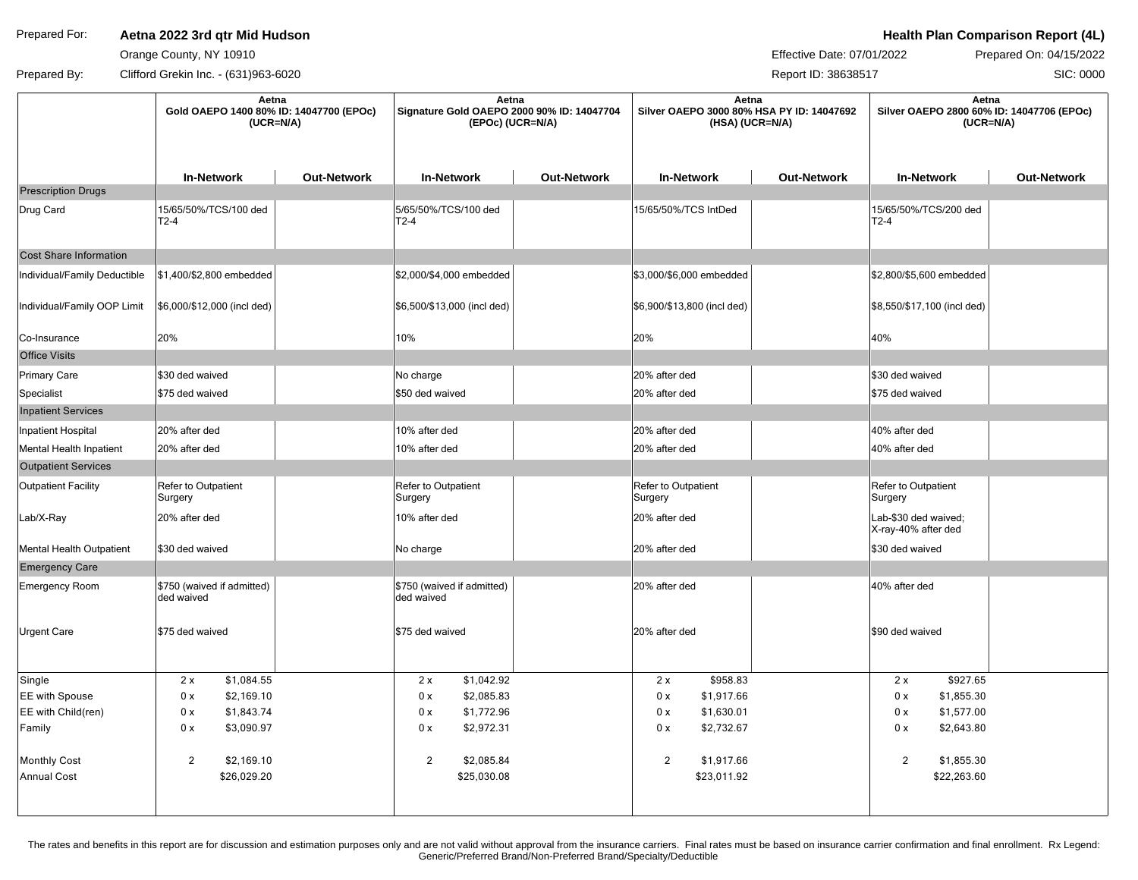## Prepared For: **Aetna 2022 3rd qtr Mid Hudson Action Health Plan Comparison Report (4L)**

Orange County, NY 10910

Effective Date: 07/01/2022 Prepared On: 04/15/2022

SIC: 0000

Prepared By: Clifford Grekin Inc. - (631)963-6020 Report ID: 38638517

|                              | Aetna<br>Gold OAEPO 1400 80% ID: 14047700 (EPOc)<br>$(UCR=N/A)$ |                    | Aetna<br>Signature Gold OAEPO 2000 90% ID: 14047704<br>(EPOc) (UCR=N/A) |                    | Aetna<br>Silver OAEPO 3000 80% HSA PY ID: 14047692<br>(HSA) (UCR=N/A) |                    | Aetna<br>Silver OAEPO 2800 60% ID: 14047706 (EPOc)<br>$(UCR=N/A)$ |                    |
|------------------------------|-----------------------------------------------------------------|--------------------|-------------------------------------------------------------------------|--------------------|-----------------------------------------------------------------------|--------------------|-------------------------------------------------------------------|--------------------|
|                              | <b>In-Network</b>                                               | <b>Out-Network</b> | <b>In-Network</b>                                                       | <b>Out-Network</b> | <b>In-Network</b>                                                     | <b>Out-Network</b> | <b>In-Network</b>                                                 | <b>Out-Network</b> |
| <b>Prescription Drugs</b>    |                                                                 |                    |                                                                         |                    |                                                                       |                    |                                                                   |                    |
| Drug Card                    | 15/65/50%/TCS/100 ded<br>$T2-4$                                 |                    | 5/65/50%/TCS/100 ded<br>$T2-4$                                          |                    | 15/65/50%/TCS IntDed                                                  |                    | 15/65/50%/TCS/200 ded<br>$T2-4$                                   |                    |
| Cost Share Information       |                                                                 |                    |                                                                         |                    |                                                                       |                    |                                                                   |                    |
| Individual/Family Deductible | \$1,400/\$2,800 embedded                                        |                    | \$2,000/\$4,000 embedded                                                |                    | \$3,000/\$6,000 embedded                                              |                    | \$2,800/\$5,600 embedded                                          |                    |
| Individual/Family OOP Limit  | \$6,000/\$12,000 (incl ded)                                     |                    | \$6,500/\$13,000 (incl ded)                                             |                    | \$6,900/\$13,800 (incl ded)                                           |                    | \$8,550/\$17,100 (incl ded)                                       |                    |
| Co-Insurance                 | 20%                                                             |                    | 10%                                                                     |                    | 20%                                                                   |                    | 40%                                                               |                    |
| <b>Office Visits</b>         |                                                                 |                    |                                                                         |                    |                                                                       |                    |                                                                   |                    |
| Primary Care                 | \$30 ded waived                                                 |                    | No charge                                                               |                    | 20% after ded                                                         |                    | \$30 ded waived                                                   |                    |
| Specialist                   | \$75 ded waived                                                 |                    | \$50 ded waived                                                         |                    | 20% after ded                                                         |                    | \$75 ded waived                                                   |                    |
| <b>Inpatient Services</b>    |                                                                 |                    |                                                                         |                    |                                                                       |                    |                                                                   |                    |
| Inpatient Hospital           | 20% after ded                                                   |                    | 10% after ded                                                           |                    | 20% after ded                                                         |                    | 40% after ded                                                     |                    |
| Mental Health Inpatient      | 20% after ded                                                   |                    | 10% after ded                                                           |                    | 20% after ded                                                         |                    | 40% after ded                                                     |                    |
| <b>Outpatient Services</b>   |                                                                 |                    |                                                                         |                    |                                                                       |                    |                                                                   |                    |
| Outpatient Facility          | Refer to Outpatient<br>Surgery                                  |                    | Refer to Outpatient<br>Surgery                                          |                    | Refer to Outpatient<br>Surgery                                        |                    | Refer to Outpatient<br>Surgery                                    |                    |
| Lab/X-Ray                    | 20% after ded                                                   |                    | 10% after ded                                                           |                    | 20% after ded                                                         |                    | Lab-\$30 ded waived;<br>X-ray-40% after ded                       |                    |
| Mental Health Outpatient     | \$30 ded waived                                                 |                    | No charge                                                               |                    | 20% after ded                                                         |                    | \$30 ded waived                                                   |                    |
| <b>Emergency Care</b>        |                                                                 |                    |                                                                         |                    |                                                                       |                    |                                                                   |                    |
| <b>Emergency Room</b>        | \$750 (waived if admitted)<br>ded waived                        |                    | \$750 (waived if admitted)<br>ded waived                                |                    | 20% after ded                                                         |                    | 40% after ded                                                     |                    |
| Urgent Care                  | \$75 ded waived                                                 |                    | \$75 ded waived                                                         |                    | 20% after ded                                                         |                    | \$90 ded waived                                                   |                    |
| Single                       | 2x<br>\$1,084.55                                                |                    | \$1,042.92<br>2x                                                        |                    | \$958.83<br>2x                                                        |                    | 2x<br>\$927.65                                                    |                    |
| EE with Spouse               | 0 x<br>\$2,169.10                                               |                    | \$2,085.83<br>0 x                                                       |                    | 0 x<br>\$1,917.66                                                     |                    | 0 x<br>\$1,855.30                                                 |                    |
| EE with Child(ren)           | \$1,843.74<br>0 x                                               |                    | \$1,772.96<br>0 x                                                       |                    | \$1,630.01<br>0 x                                                     |                    | 0 x<br>\$1,577.00                                                 |                    |
| Family                       | 0 x<br>\$3,090.97                                               |                    | \$2,972.31<br>0 x                                                       |                    | 0 x<br>\$2,732.67                                                     |                    | 0 x<br>\$2,643.80                                                 |                    |
| <b>Monthly Cost</b>          | $\overline{2}$<br>\$2,169.10                                    |                    | $\overline{2}$<br>\$2,085.84                                            |                    | $\overline{2}$<br>\$1,917.66                                          |                    | $\overline{c}$<br>\$1,855.30                                      |                    |
| <b>Annual Cost</b>           | \$26,029.20                                                     |                    | \$25,030.08                                                             |                    | \$23,011.92                                                           |                    | \$22,263.60                                                       |                    |
|                              |                                                                 |                    |                                                                         |                    |                                                                       |                    |                                                                   |                    |

The rates and benefits in this report are for discussion and estimation purposes only and are not valid without approval from the insurance carriers. Final rates must be based on insurance carrier confirmation and final en Generic/Preferred Brand/Non-Preferred Brand/Specialty/Deductible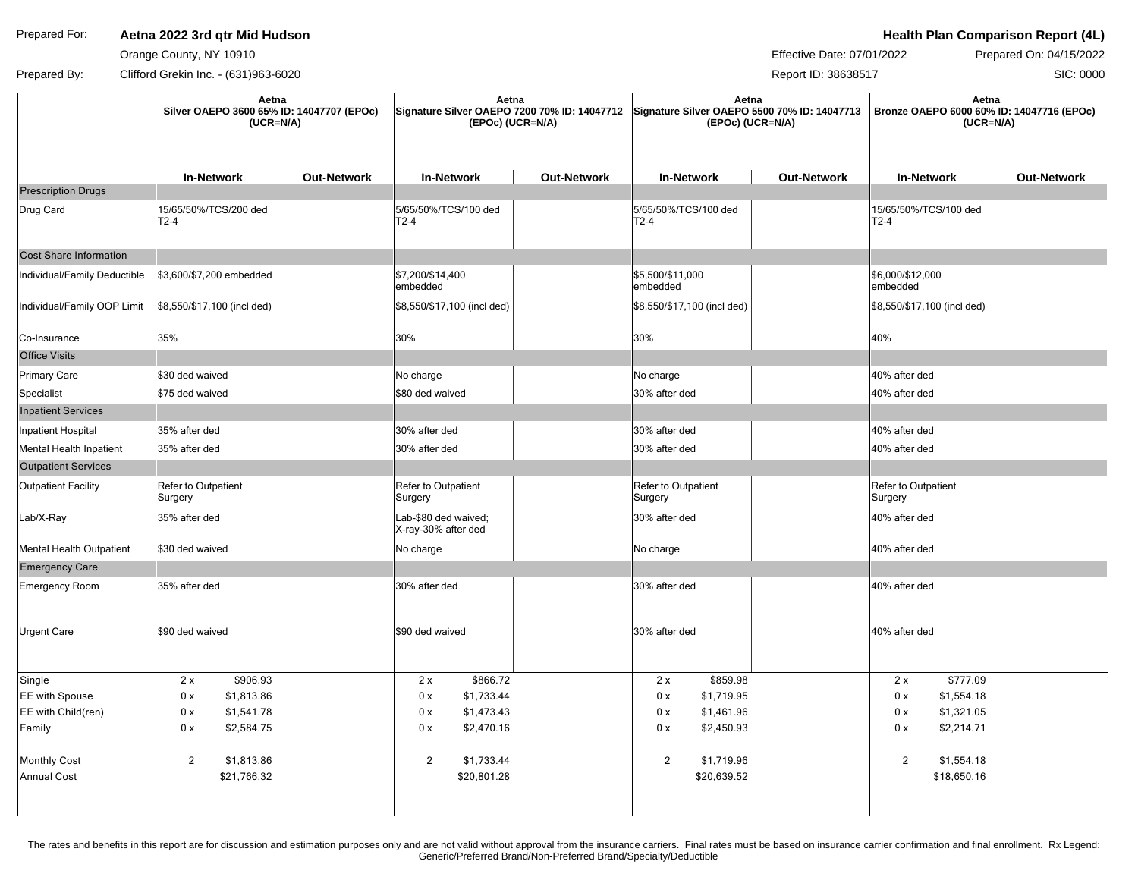## Prepared For: **Aetna 2022 3rd qtr Mid Hudson Action Health Plan Comparison Report (4L)**

Orange County, NY 10910

Effective Date: 07/01/2022 Prepared On: 04/15/2022

SIC: 0000

Prepared By: Clifford Grekin Inc. - (631)963-6020 Report ID: 38638517

|                               | Aetna<br>Silver OAEPO 3600 65% ID: 14047707 (EPOc)<br>$(UCR=N/A)$ |                    | Aetna<br>Signature Silver OAEPO 7200 70% ID: 14047712 Signature Silver OAEPO 5500 70% ID: 14047713<br>(EPOc) (UCR=N/A) |                    | Aetna<br>(EPOc) (UCR=N/A)             |                    | Aetna<br>Bronze OAEPO 6000 60% ID: 14047716 (EPOc)<br>$(UCR=N/A)$ |                    |
|-------------------------------|-------------------------------------------------------------------|--------------------|------------------------------------------------------------------------------------------------------------------------|--------------------|---------------------------------------|--------------------|-------------------------------------------------------------------|--------------------|
|                               | <b>In-Network</b>                                                 | <b>Out-Network</b> | <b>In-Network</b>                                                                                                      | <b>Out-Network</b> | <b>In-Network</b>                     | <b>Out-Network</b> | <b>In-Network</b>                                                 | <b>Out-Network</b> |
| <b>Prescription Drugs</b>     |                                                                   |                    |                                                                                                                        |                    |                                       |                    |                                                                   |                    |
| Drug Card                     | 15/65/50%/TCS/200 ded<br>$T2-4$                                   |                    | 5/65/50%/TCS/100 ded<br>$T2-4$                                                                                         |                    | 5/65/50%/TCS/100 ded<br>T2-4          |                    | 15/65/50%/TCS/100 ded<br>T2-4                                     |                    |
| <b>Cost Share Information</b> |                                                                   |                    |                                                                                                                        |                    |                                       |                    |                                                                   |                    |
| Individual/Family Deductible  | \$3,600/\$7,200 embedded                                          |                    | \$7,200/\$14,400<br>embedded                                                                                           |                    | \$5,500/\$11,000<br>embedded          |                    | \$6,000/\$12,000<br>embedded                                      |                    |
| Individual/Family OOP Limit   | \$8,550/\$17,100 (incl ded)                                       |                    | \$8,550/\$17,100 (incl ded)                                                                                            |                    | \$8,550/\$17,100 (incl ded)           |                    | \$8,550/\$17,100 (incl ded)                                       |                    |
| Co-Insurance                  | 35%                                                               |                    | 30%                                                                                                                    |                    | 30%                                   |                    | 40%                                                               |                    |
| <b>Office Visits</b>          |                                                                   |                    |                                                                                                                        |                    |                                       |                    |                                                                   |                    |
| <b>Primary Care</b>           | \$30 ded waived                                                   |                    | No charge                                                                                                              |                    | No charge                             |                    | 40% after ded                                                     |                    |
| Specialist                    | \$75 ded waived                                                   |                    | \$80 ded waived                                                                                                        |                    | 30% after ded                         |                    | 40% after ded                                                     |                    |
| <b>Inpatient Services</b>     |                                                                   |                    |                                                                                                                        |                    |                                       |                    |                                                                   |                    |
| Inpatient Hospital            | 35% after ded                                                     |                    | 30% after ded                                                                                                          |                    | 30% after ded                         |                    | 40% after ded                                                     |                    |
| Mental Health Inpatient       | 35% after ded                                                     |                    | 30% after ded                                                                                                          |                    | 30% after ded                         |                    | 40% after ded                                                     |                    |
| <b>Outpatient Services</b>    |                                                                   |                    |                                                                                                                        |                    |                                       |                    |                                                                   |                    |
| <b>Outpatient Facility</b>    | Refer to Outpatient<br>Surgery                                    |                    | Refer to Outpatient<br>Surgery                                                                                         |                    | <b>Refer to Outpatient</b><br>Surgery |                    | Refer to Outpatient<br>Surgery                                    |                    |
| Lab/X-Ray                     | 35% after ded                                                     |                    | Lab-\$80 ded waived;<br>X-ray-30% after ded                                                                            |                    | 30% after ded                         |                    | 40% after ded                                                     |                    |
| Mental Health Outpatient      | \$30 ded waived                                                   |                    | No charge                                                                                                              |                    | No charge                             |                    | 40% after ded                                                     |                    |
| <b>Emergency Care</b>         |                                                                   |                    |                                                                                                                        |                    |                                       |                    |                                                                   |                    |
| Emergency Room                | 35% after ded                                                     |                    | 30% after ded                                                                                                          |                    | 30% after ded                         |                    | 40% after ded                                                     |                    |
| Urgent Care                   | \$90 ded waived                                                   |                    | \$90 ded waived                                                                                                        |                    | 30% after ded                         |                    | 40% after ded                                                     |                    |
| Single                        | \$906.93<br>2x                                                    |                    | \$866.72<br>2x                                                                                                         |                    | \$859.98<br>2x                        |                    | \$777.09<br>2x                                                    |                    |
| <b>EE</b> with Spouse         | 0 x<br>\$1,813.86                                                 |                    | \$1,733.44<br>0 x                                                                                                      |                    | \$1,719.95<br>0 x                     |                    | \$1,554.18<br>0 x                                                 |                    |
| EE with Child(ren)            | 0 x<br>\$1,541.78                                                 |                    | \$1,473.43<br>0 x                                                                                                      |                    | \$1,461.96<br>0 x                     |                    | \$1,321.05<br>0 x                                                 |                    |
| Family                        | 0 x<br>\$2,584.75                                                 |                    | \$2,470.16<br>0 x                                                                                                      |                    | 0 x<br>\$2,450.93                     |                    | 0 x<br>\$2,214.71                                                 |                    |
| <b>Monthly Cost</b>           | $\overline{2}$<br>\$1,813.86                                      |                    | $\overline{2}$<br>\$1,733.44                                                                                           |                    | $\overline{c}$<br>\$1,719.96          |                    | 2<br>\$1,554.18                                                   |                    |
| <b>Annual Cost</b>            | \$21,766.32                                                       |                    | \$20,801.28                                                                                                            |                    | \$20,639.52                           |                    | \$18,650.16                                                       |                    |
|                               |                                                                   |                    |                                                                                                                        |                    |                                       |                    |                                                                   |                    |

The rates and benefits in this report are for discussion and estimation purposes only and are not valid without approval from the insurance carriers. Final rates must be based on insurance carrier confirmation and final en Generic/Preferred Brand/Non-Preferred Brand/Specialty/Deductible